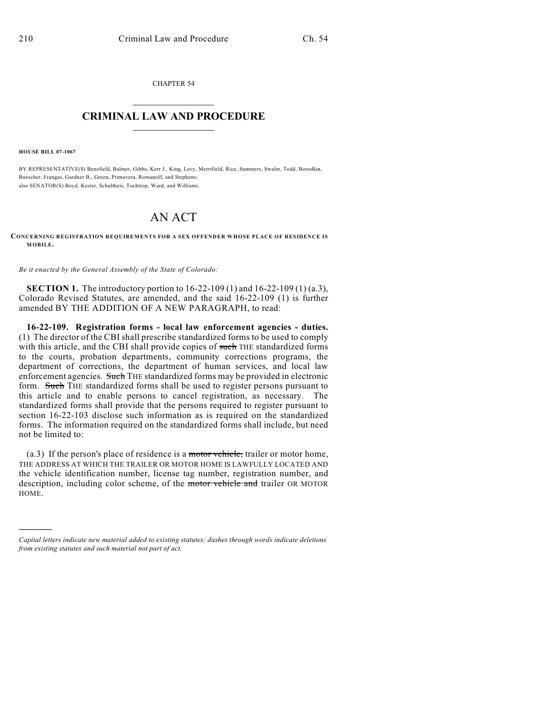CHAPTER 54  $\overline{\phantom{a}}$  . The set of the set of the set of the set of the set of the set of the set of the set of the set of the set of the set of the set of the set of the set of the set of the set of the set of the set of the set o

## **CRIMINAL LAW AND PROCEDURE**  $\frac{1}{2}$  ,  $\frac{1}{2}$  ,  $\frac{1}{2}$  ,  $\frac{1}{2}$  ,  $\frac{1}{2}$  ,  $\frac{1}{2}$  ,  $\frac{1}{2}$

**HOUSE BILL 07-1067**

)))))

BY REPRESENTATIVE(S) Benefield, Balmer, Gibbs, Kerr J., King, Levy, Merrifield, Rice, Summers, Swalm, Todd, Borodkin, Buescher, Frangas, Gardner B., Green, Primavera, Romanoff, and Stephens; also SENATOR(S) Boyd, Kester, Schultheis, Tochtrop, Ward, and Williams.

## AN ACT

**CONCERNING REGISTRATION REQUIREMENTS FOR A SEX OFFENDER WHOSE PLACE OF RESIDENCE IS MOBILE.**

*Be it enacted by the General Assembly of the State of Colorado:*

**SECTION 1.** The introductory portion to 16-22-109 (1) and 16-22-109 (1) (a.3), Colorado Revised Statutes, are amended, and the said 16-22-109 (1) is further amended BY THE ADDITION OF A NEW PARAGRAPH, to read:

**16-22-109. Registration forms - local law enforcement agencies - duties.** (1) The director of the CBI shall prescribe standardized forms to be used to comply with this article, and the CBI shall provide copies of such THE standardized forms to the courts, probation departments, community corrections programs, the department of corrections, the department of human services, and local law enforcement agencies. Such THE standardized forms may be provided in electronic form. Such THE standardized forms shall be used to register persons pursuant to this article and to enable persons to cancel registration, as necessary. The standardized forms shall provide that the persons required to register pursuant to section 16-22-103 disclose such information as is required on the standardized forms. The information required on the standardized forms shall include, but need not be limited to:

(a.3) If the person's place of residence is a motor vehicle, trailer or motor home, THE ADDRESS AT WHICH THE TRAILER OR MOTOR HOME IS LAWFULLY LOCATED AND the vehicle identification number, license tag number, registration number, and description, including color scheme, of the motor vehicle and trailer OR MOTOR HOME.

*Capital letters indicate new material added to existing statutes; dashes through words indicate deletions from existing statutes and such material not part of act.*